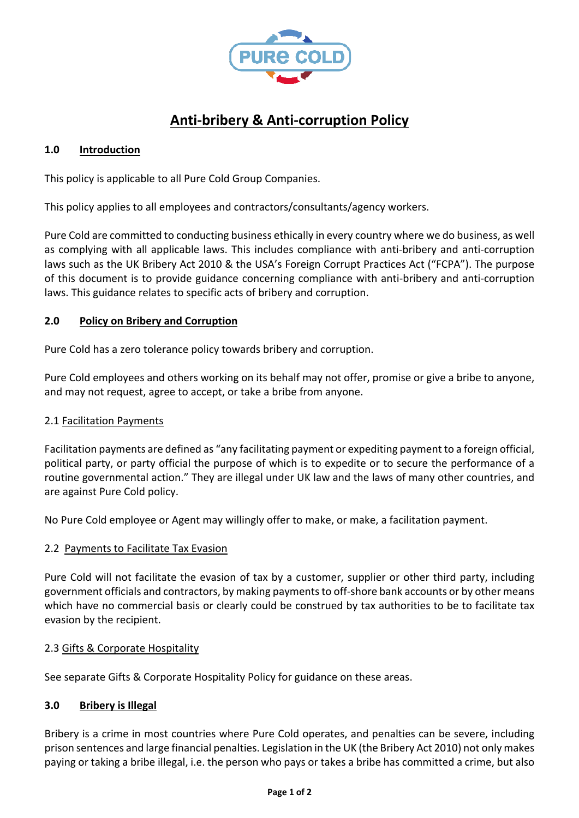

# **Anti-bribery & Anti-corruption Policy**

## **1.0 Introduction**

This policy is applicable to all Pure Cold Group Companies.

This policy applies to all employees and contractors/consultants/agency workers.

Pure Cold are committed to conducting business ethically in every country where we do business, as well as complying with all applicable laws. This includes compliance with anti-bribery and anti-corruption laws such as the UK Bribery Act 2010 & the USA's Foreign Corrupt Practices Act ("FCPA"). The purpose of this document is to provide guidance concerning compliance with anti-bribery and anti-corruption laws. This guidance relates to specific acts of bribery and corruption.

### **2.0 Policy on Bribery and Corruption**

Pure Cold has a zero tolerance policy towards bribery and corruption.

Pure Cold employees and others working on its behalf may not offer, promise or give a bribe to anyone, and may not request, agree to accept, or take a bribe from anyone.

#### 2.1 Facilitation Payments

Facilitation payments are defined as "any facilitating payment or expediting payment to a foreign official, political party, or party official the purpose of which is to expedite or to secure the performance of a routine governmental action." They are illegal under UK law and the laws of many other countries, and are against Pure Cold policy.

No Pure Cold employee or Agent may willingly offer to make, or make, a facilitation payment.

#### 2.2 Payments to Facilitate Tax Evasion

Pure Cold will not facilitate the evasion of tax by a customer, supplier or other third party, including government officials and contractors, by making payments to off-shore bank accounts or by other means which have no commercial basis or clearly could be construed by tax authorities to be to facilitate tax evasion by the recipient.

#### 2.3 Gifts & Corporate Hospitality

See separate Gifts & Corporate Hospitality Policy for guidance on these areas.

# **3.0 Bribery is Illegal**

Bribery is a crime in most countries where Pure Cold operates, and penalties can be severe, including prison sentences and large financial penalties. Legislation in the UK (the Bribery Act 2010) not only makes paying or taking a bribe illegal, i.e. the person who pays or takes a bribe has committed a crime, but also